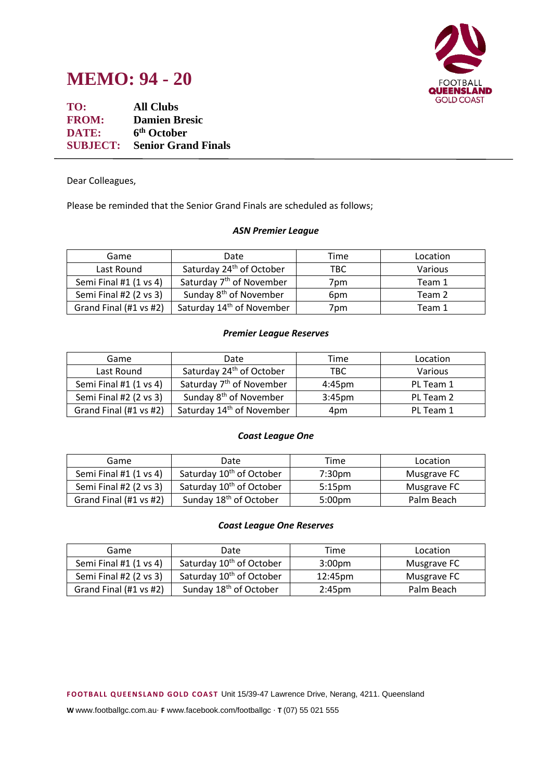



**TO: All Clubs FROM: Damien Bresic DATE: 6 th October SUBJECT: Senior Grand Finals**

Dear Colleagues,

Please be reminded that the Senior Grand Finals are scheduled as follows;

#### *ASN Premier League*

| Game                   | Date                                  | Time            | Location |
|------------------------|---------------------------------------|-----------------|----------|
| Last Round             | Saturday 24 <sup>th</sup> of October  | TBC             | Various  |
| Semi Final #1 (1 vs 4) | Saturday 7 <sup>th</sup> of November  | 7pm             | Team 1   |
| Semi Final #2 (2 vs 3) | Sunday 8 <sup>th</sup> of November    | 6 <sub>pm</sub> | Team 2   |
| Grand Final (#1 vs #2) | Saturday 14 <sup>th</sup> of November | 7pm             | Team 1   |

## *Premier League Reserves*

| Game                   | Date                                  | Time      | Location       |
|------------------------|---------------------------------------|-----------|----------------|
| Last Round             | Saturday 24 <sup>th</sup> of October  | TBC.      | <b>Various</b> |
| Semi Final #1 (1 vs 4) | Saturday 7 <sup>th</sup> of November  | 4:45pm    | PL Team 1      |
| Semi Final #2 (2 vs 3) | Sunday 8 <sup>th</sup> of November    | $3:45$ pm | PL Team 2      |
| Grand Final (#1 vs #2) | Saturday 14 <sup>th</sup> of November | 4pm       | PL Team 1      |

## *Coast League One*

| Game                   | Date                                 | Time               | Location    |
|------------------------|--------------------------------------|--------------------|-------------|
| Semi Final #1 (1 vs 4) | Saturday 10 <sup>th</sup> of October | 7:30pm             | Musgrave FC |
| Semi Final #2 (2 vs 3) | Saturday 10 <sup>th</sup> of October | 5:15 <sub>pm</sub> | Musgrave FC |
| Grand Final (#1 vs #2) | Sunday 18 <sup>th</sup> of October   | 5:00 <sub>pm</sub> | Palm Beach  |

## *Coast League One Reserves*

| Game                   | Date                                 | Time               | Location    |
|------------------------|--------------------------------------|--------------------|-------------|
| Semi Final #1 (1 vs 4) | Saturday 10 <sup>th</sup> of October | 3:00 <sub>pm</sub> | Musgrave FC |
| Semi Final #2 (2 vs 3) | Saturday 10 <sup>th</sup> of October | 12:45pm            | Musgrave FC |
| Grand Final (#1 vs #2) | Sunday 18 <sup>th</sup> of October   | 2:45pm             | Palm Beach  |

**F OOTB ALL Q UE EN S LAN D GOLD C OAS T** Unit 15/39-47 Lawrence Drive, Nerang, 4211. Queensland

**W** www.footballgc.com.au. **F** www.facebook.com/footballgc . **T** (07) 55 021 555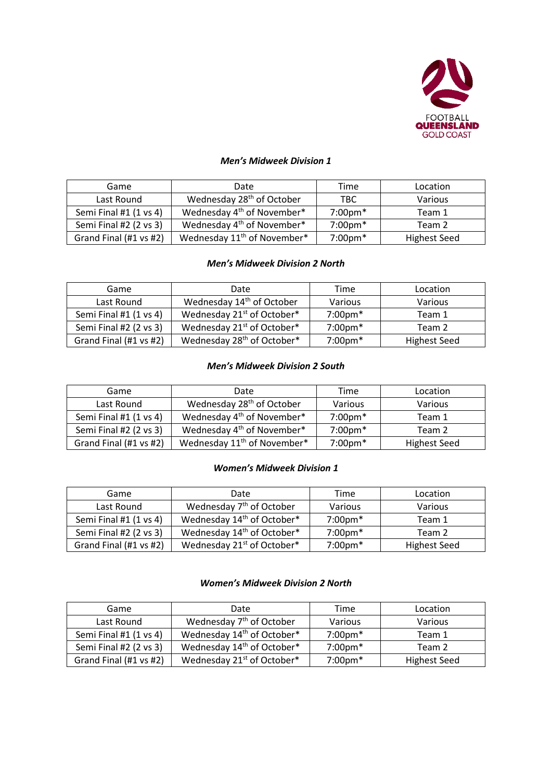

# *Men's Midweek Division 1*

| Game                   | Date                                    | Time                          | Location            |
|------------------------|-----------------------------------------|-------------------------------|---------------------|
| Last Round             | Wednesday 28 <sup>th</sup> of October   | <b>TBC</b>                    | <b>Various</b>      |
| Semi Final #1 (1 vs 4) | Wednesday 4 <sup>th</sup> of November*  | $7:00 \text{pm}$ <sup>*</sup> | Team 1              |
| Semi Final #2 (2 vs 3) | Wednesday 4 <sup>th</sup> of November*  | $7:00 \text{pm}$ <sup>*</sup> | Team 2              |
| Grand Final (#1 vs #2) | Wednesday 11 <sup>th</sup> of November* | $7:00 \text{pm}$ <sup>*</sup> | <b>Highest Seed</b> |

#### *Men's Midweek Division 2 North*

| Game                   | Date                                   | Time               | Location            |
|------------------------|----------------------------------------|--------------------|---------------------|
| Last Round             | Wednesday 14 <sup>th</sup> of October  | Various            | <b>Various</b>      |
| Semi Final #1 (1 vs 4) | Wednesday 21 <sup>st</sup> of October* | $7:00 \text{pm}$ * | Team 1              |
| Semi Final #2 (2 vs 3) | Wednesday 21 <sup>st</sup> of October* | $7:00 \text{pm}^*$ | Team 2              |
| Grand Final (#1 vs #2) | Wednesday 28 <sup>th</sup> of October* | $7:00 \text{pm}$ * | <b>Highest Seed</b> |

## *Men's Midweek Division 2 South*

| Game                   | Date                                    | Time                          | Location            |
|------------------------|-----------------------------------------|-------------------------------|---------------------|
| Last Round             | Wednesday 28 <sup>th</sup> of October   | Various                       | Various             |
| Semi Final #1 (1 vs 4) | Wednesday 4 <sup>th</sup> of November*  | $7:00 \text{pm}$ <sup>*</sup> | Team 1              |
| Semi Final #2 (2 vs 3) | Wednesday 4 <sup>th</sup> of November*  | $7:00 \text{pm}$ <sup>*</sup> | Team 2              |
| Grand Final (#1 vs #2) | Wednesday 11 <sup>th</sup> of November* | $7:00 \text{pm}$ <sup>*</sup> | <b>Highest Seed</b> |

## *Women's Midweek Division 1*

| Game                   | Date                                   | Time                          | Location            |
|------------------------|----------------------------------------|-------------------------------|---------------------|
| Last Round             | Wednesday 7 <sup>th</sup> of October   | Various                       | Various             |
| Semi Final #1 (1 vs 4) | Wednesday 14 <sup>th</sup> of October* | $7:00 \text{pm}$ *            | Team 1              |
| Semi Final #2 (2 vs 3) | Wednesday 14 <sup>th</sup> of October* | $7:00 \text{pm}$ <sup>*</sup> | Team 2              |
| Grand Final (#1 vs #2) | Wednesday 21 <sup>st</sup> of October* | $7:00 \text{pm}$ *            | <b>Highest Seed</b> |

## *Women's Midweek Division 2 North*

| Game                   | Date                                   | Time               | Location            |
|------------------------|----------------------------------------|--------------------|---------------------|
| Last Round             | Wednesday 7 <sup>th</sup> of October   | Various            | Various             |
| Semi Final #1 (1 vs 4) | Wednesday 14 <sup>th</sup> of October* | $7:00 \text{pm}^*$ | Team 1              |
| Semi Final #2 (2 vs 3) | Wednesday 14 <sup>th</sup> of October* | $7:00 \text{pm}^*$ | Team 2              |
| Grand Final (#1 vs #2) | Wednesday 21 <sup>st</sup> of October* | $7:00 \text{pm}$ * | <b>Highest Seed</b> |